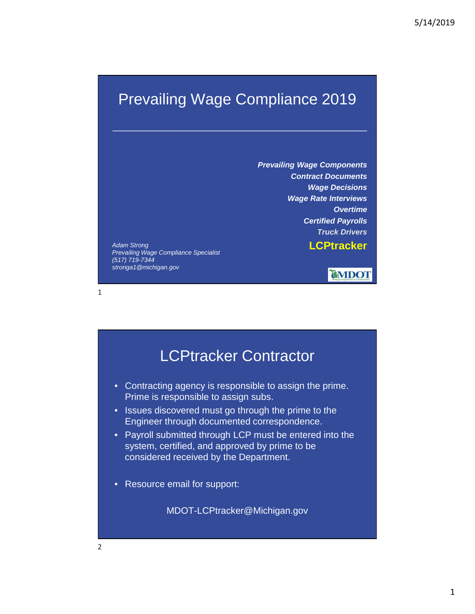### Prevailing Wage Compliance 2019

\_\_\_\_\_\_\_\_\_\_\_\_\_\_\_\_\_\_\_\_\_\_\_\_\_\_\_\_\_\_\_\_\_\_\_\_\_\_\_\_\_\_\_\_\_\_\_\_\_

*Prevailing Wage Components Contract Documents Wage Decisions Wage Rate Interviews Overtime Certified Payrolls Truck Drivers*

**LCPtracker** *Adam Strong Prevailing Wage Compliance Specialist (517) 719-7344 stronga1@michigan.gov*



# LCPtracker Contractor • Contracting agency is responsible to assign the prime. Prime is responsible to assign subs. • Issues discovered must go through the prime to the Engineer through documented correspondence. • Payroll submitted through LCP must be entered into the system, certified, and approved by prime to be considered received by the Department. • Resource email for support: MDOT-LCPtracker@Michigan.gov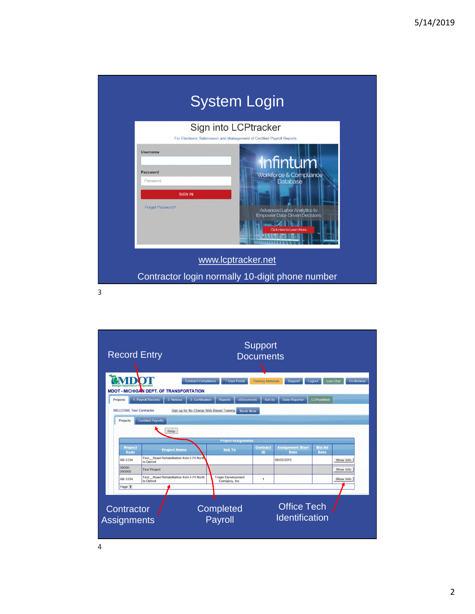

| <b>Record Entry</b>                        |                                                                                    | <b>Support</b><br><b>Documents</b>             |                                                             |                                     |                                             |                               |                               |  |  |
|--------------------------------------------|------------------------------------------------------------------------------------|------------------------------------------------|-------------------------------------------------------------|-------------------------------------|---------------------------------------------|-------------------------------|-------------------------------|--|--|
| Projects                                   | <b>MDOT - MICHIGAN DEPT. OF TRANSPORTATION</b><br>1. Payroll Records<br>2. Notices | <b>Contract Compliance</b><br>3. Certification | <b>User Portal</b><br>ă.<br>eDocuments<br><b>Reports</b>    | <b>Training Materials</b><br>Set Up | Support<br><b>Daily Reporter</b>            | Logout<br><b>LCPcertified</b> | <b>Live Chat</b><br>Co-Browse |  |  |
| <b>WELCOME Test Contractor</b><br>Projects | <b>Certified Payrolls</b>                                                          |                                                | Sign up for No Charge Web Based Training<br><b>Book Now</b> |                                     |                                             |                               |                               |  |  |
|                                            | Help                                                                               |                                                | <b>Project Assignments</b>                                  |                                     |                                             |                               |                               |  |  |
| Project<br>Code                            | <b>Project Name</b>                                                                |                                                | <b>Sub To</b>                                               | <b>Contract</b><br>ID               | <b>Assignment Start</b><br><b>Date</b>      | <b>Bid Ad</b><br><b>Date</b>  |                               |  |  |
| AB-1234                                    | Test Road Rehabilitation from I-74 North<br>to Detroit                             |                                                |                                                             |                                     | 06/03/2015                                  |                               | Show Info                     |  |  |
| 00000-<br>000000                           | <b>Test Project</b>                                                                |                                                |                                                             |                                     |                                             |                               | Show Info                     |  |  |
| AB-1234                                    | Test Road Rehabilitation from I-74 North<br>to Detroit                             |                                                | <b>Trojan Development</b><br>Comapny, Inc.                  | $\mathbf{1}$                        |                                             |                               | Show Info                     |  |  |
| Page 1                                     |                                                                                    |                                                |                                                             |                                     |                                             |                               |                               |  |  |
| Contractor<br>Assignments                  |                                                                                    |                                                | Completed<br>Payroll                                        |                                     | <b>Office Tech</b><br><b>Identification</b> |                               |                               |  |  |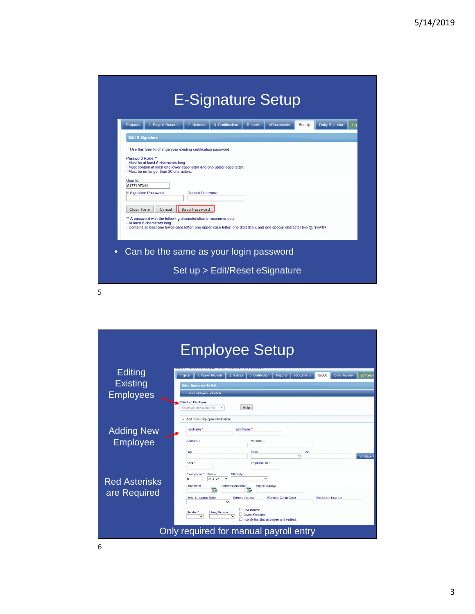|        | 2. Notices                                                                                                                              | 3. Certification                                                                                 | <b>Reports</b>                                                                                                                                              | eDocuments                                                               | <b>Daily Reporter</b><br>Set Up | Lcr                                                                                                                         |
|--------|-----------------------------------------------------------------------------------------------------------------------------------------|--------------------------------------------------------------------------------------------------|-------------------------------------------------------------------------------------------------------------------------------------------------------------|--------------------------------------------------------------------------|---------------------------------|-----------------------------------------------------------------------------------------------------------------------------|
|        |                                                                                                                                         |                                                                                                  |                                                                                                                                                             |                                                                          |                                 |                                                                                                                             |
|        |                                                                                                                                         |                                                                                                  |                                                                                                                                                             |                                                                          |                                 |                                                                                                                             |
|        |                                                                                                                                         |                                                                                                  |                                                                                                                                                             |                                                                          |                                 |                                                                                                                             |
|        |                                                                                                                                         |                                                                                                  |                                                                                                                                                             |                                                                          |                                 |                                                                                                                             |
|        |                                                                                                                                         |                                                                                                  |                                                                                                                                                             |                                                                          |                                 |                                                                                                                             |
|        |                                                                                                                                         |                                                                                                  |                                                                                                                                                             |                                                                          |                                 |                                                                                                                             |
|        |                                                                                                                                         |                                                                                                  |                                                                                                                                                             |                                                                          |                                 |                                                                                                                             |
|        |                                                                                                                                         |                                                                                                  |                                                                                                                                                             |                                                                          |                                 |                                                                                                                             |
|        |                                                                                                                                         |                                                                                                  |                                                                                                                                                             |                                                                          |                                 |                                                                                                                             |
|        |                                                                                                                                         |                                                                                                  |                                                                                                                                                             |                                                                          |                                 |                                                                                                                             |
| Cancel |                                                                                                                                         |                                                                                                  |                                                                                                                                                             |                                                                          |                                 |                                                                                                                             |
|        |                                                                                                                                         |                                                                                                  |                                                                                                                                                             |                                                                          |                                 |                                                                                                                             |
|        |                                                                                                                                         |                                                                                                  |                                                                                                                                                             |                                                                          |                                 |                                                                                                                             |
|        |                                                                                                                                         |                                                                                                  |                                                                                                                                                             |                                                                          |                                 |                                                                                                                             |
|        |                                                                                                                                         |                                                                                                  |                                                                                                                                                             |                                                                          |                                 |                                                                                                                             |
|        |                                                                                                                                         |                                                                                                  |                                                                                                                                                             |                                                                          |                                 |                                                                                                                             |
|        | <b>Edit E-Signature</b><br>Password Rules:**<br>5177197344<br><b>E-Signature Password</b><br>Clear Form<br>- At least 8 characters long | - Must be at least 6 characters long<br>- Must be no longer than 20 characters.<br>Save Password | Use this form to change your existing certification password.<br><b>Repeat Password</b><br>** A password with the following characteristics is recommended: | - Must contain at least one lower-case letter and one upper-case letter. |                                 | - Contains at least one lower-case letter, one upper-case letter, one digit (0-9), and one special character like @#\$%^&+= |

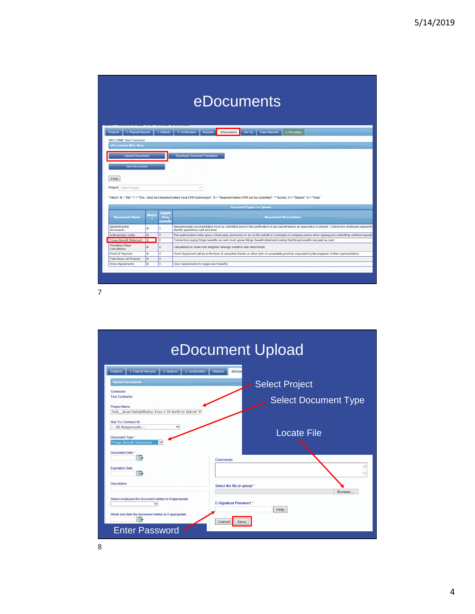| eDocuments |  |
|------------|--|
|            |  |

| 1. Payroll Records<br><b>Projects</b> |                      | 2 Notices | Set Up<br>3. Certification<br><b>Reports</b><br>eDocuments<br>Daily Reporter<br>LCPoertified                                                                                                                                                                                                                                                                                                                                                                                 |
|---------------------------------------|----------------------|-----------|------------------------------------------------------------------------------------------------------------------------------------------------------------------------------------------------------------------------------------------------------------------------------------------------------------------------------------------------------------------------------------------------------------------------------------------------------------------------------|
| WELCOME Test Contractor               |                      |           |                                                                                                                                                                                                                                                                                                                                                                                                                                                                              |
| eDocuments Main Menu                  |                      |           |                                                                                                                                                                                                                                                                                                                                                                                                                                                                              |
|                                       |                      |           |                                                                                                                                                                                                                                                                                                                                                                                                                                                                              |
| <b>Upload Documents</b>               |                      |           | <b>Download Document Templates</b>                                                                                                                                                                                                                                                                                                                                                                                                                                           |
|                                       |                      |           |                                                                                                                                                                                                                                                                                                                                                                                                                                                                              |
| <b>View Documents</b>                 |                      |           |                                                                                                                                                                                                                                                                                                                                                                                                                                                                              |
|                                       |                      |           |                                                                                                                                                                                                                                                                                                                                                                                                                                                                              |
| Help                                  |                      |           |                                                                                                                                                                                                                                                                                                                                                                                                                                                                              |
|                                       |                      |           |                                                                                                                                                                                                                                                                                                                                                                                                                                                                              |
|                                       |                      |           |                                                                                                                                                                                                                                                                                                                                                                                                                                                                              |
| Select Project<br><b>Project</b>      |                      |           | ٠                                                                                                                                                                                                                                                                                                                                                                                                                                                                            |
|                                       |                      |           |                                                                                                                                                                                                                                                                                                                                                                                                                                                                              |
|                                       |                      |           | * Reg(d; N = "No", Y = "Yes - Must be Uploaded before Final CPR Submission", R = "Required before CPR can be submitted", ** Access: U = "Upload", V = "View"                                                                                                                                                                                                                                                                                                                 |
|                                       |                      |           | <b>Document Types For Upload</b>                                                                                                                                                                                                                                                                                                                                                                                                                                             |
|                                       |                      | Expire    |                                                                                                                                                                                                                                                                                                                                                                                                                                                                              |
| <b>Document Name</b>                  | <b>Reg'd</b><br>- 11 | Freq      | <b>Document Description</b>                                                                                                                                                                                                                                                                                                                                                                                                                                                  |
|                                       |                      | (month)   |                                                                                                                                                                                                                                                                                                                                                                                                                                                                              |
| Apprenticeship<br><b>Documents</b>    | N                    | $\theta$  | identify apprentice craft and level.                                                                                                                                                                                                                                                                                                                                                                                                                                         |
| Authorization Letter                  | N                    | $\Omega$  |                                                                                                                                                                                                                                                                                                                                                                                                                                                                              |
| Fringe Benefit Statement R            |                      | $\circ$   | Contractors paying fringe benefits as cash must upload fringe benefit statement stating that fringe benefits are paid as cash.                                                                                                                                                                                                                                                                                                                                               |
| Prevailing Wage<br>Calculations       | N                    | $\sigma$  | Calculations to show how weighted average overtime was determined.                                                                                                                                                                                                                                                                                                                                                                                                           |
| Proof of Payment                      | N                    | $\alpha$  | Apprenticeship documentation must be submitted prior to the certification of any payroll where an apprentice is present. Contractors employing apprentic<br>This authorization letter gives a third party permission to act on the behalf of a principle or company owner when signing and submitting certified payrolls<br>Proof of payment will be in the form of cancelled checks or other form of acceptable proof as requested by the engineer or their representative. |
| <b>Total Hours All Projects</b>       | N                    | $\theta$  |                                                                                                                                                                                                                                                                                                                                                                                                                                                                              |

|                                                                                                                                                                                                                    | eDocument Upload                                                                 |
|--------------------------------------------------------------------------------------------------------------------------------------------------------------------------------------------------------------------|----------------------------------------------------------------------------------|
| 1. Payroll Records<br>2 Notices<br>3. Certification<br>Projects<br><b>Upload Documents</b><br>Contractor<br><b>Test Contractor</b><br><b>Project Name</b><br>Test Road Rehabilitation from I-74 North to Detroit ∨ | eDocun<br><b>Reports</b><br><b>Select Project</b><br><b>Select Document Type</b> |
| Sub To   Contract ID<br>-- All Assignments --<br>◡<br>Document Type *<br><b>Fringe Benefit Statement</b><br>╰<br>Document Date *<br>基数                                                                             | <b>Locate File</b>                                                               |
| <b>Expiration Date</b><br>露<br><b>Description</b>                                                                                                                                                                  | Comments<br>Select the file to upload *<br>Browse                                |
| Select employee the document relates to if appropriate<br>$\checkmark$<br>Week end date the document relates to if appropriate<br>霖<br><b>Enter Password</b>                                                       | E-Signature Password *<br>Help<br>Save<br>Cancel                                 |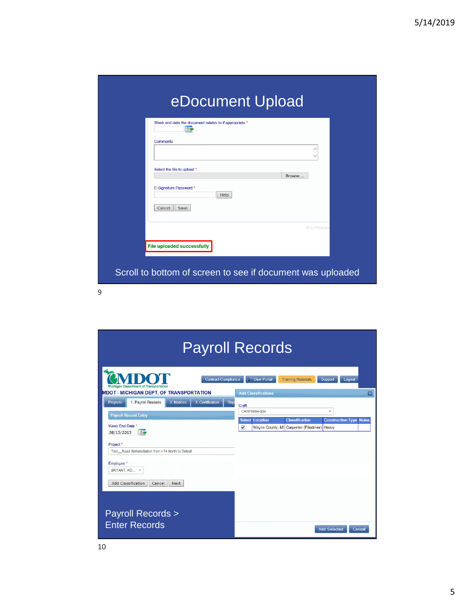| 最                                     |  |
|---------------------------------------|--|
| <b>Comments</b>                       |  |
| Select the file to upload *<br>Browse |  |
| E-Signature Password *<br>Help        |  |
| Save<br>Cancel<br>© LCPtracker        |  |
| <b>File uploaded successfully</b>     |  |

|                                                                                                                                                                                                                                                                                                       | <b>Payroll Records</b>                                                                                                                                                                                |
|-------------------------------------------------------------------------------------------------------------------------------------------------------------------------------------------------------------------------------------------------------------------------------------------------------|-------------------------------------------------------------------------------------------------------------------------------------------------------------------------------------------------------|
| <b>Contract Compliance</b><br>Michigan Department of Transportation<br><b>MDOT - MICHIGAN DEPT. OF TRANSPORTATION</b>                                                                                                                                                                                 | <b>User Portal</b><br><b>Training Materials</b><br>Support<br>Logout<br>☞<br><b>Add Classifications</b>                                                                                               |
| 1. Payroll Records<br>2. Notices<br>3. Certification<br>Projects<br>Rep<br><b>Payroll Record Entry</b><br>Week End Date *<br>H.<br>08/15/2015<br>Project*<br>Test Road Rehabilitation from I-74 North to Detroit<br>Employee*<br>BRYANT, KO., T<br><b>Add Classification</b><br>Cancel<br><b>Next</b> | Craft<br>CARP0004-004<br>$\overline{\mathbf{v}}$<br><b>Select Location</b><br><b>Classification</b><br><b>Construction Type</b><br><b>Notes</b><br>V<br>Wayne County, MI Carpenter (Piledriver) Heavy |
| <b>Payroll Records &gt;</b><br><b>Enter Records</b>                                                                                                                                                                                                                                                   | <b>Add Selected</b><br>Cancel                                                                                                                                                                         |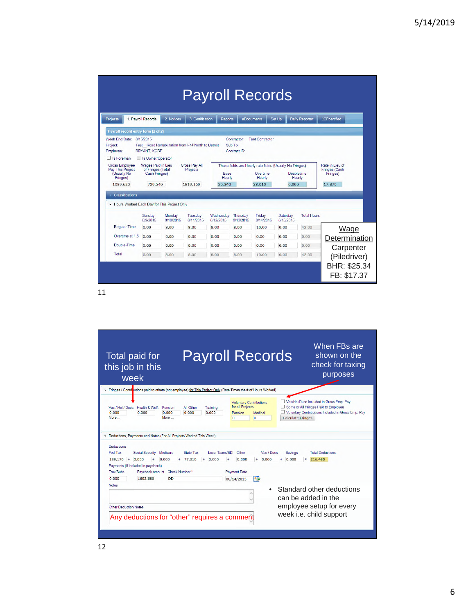|                                                                              |                                                                 |                                                     |                                  | <b>Payroll Records</b> |                                        |                                                                                |                       |                       |                                              |  |
|------------------------------------------------------------------------------|-----------------------------------------------------------------|-----------------------------------------------------|----------------------------------|------------------------|----------------------------------------|--------------------------------------------------------------------------------|-----------------------|-----------------------|----------------------------------------------|--|
| Projects                                                                     | 1. Payroll Records                                              | 2. Notices                                          | 3 Certification                  | <b>Reports</b>         |                                        | eDocuments                                                                     | Set Up                | <b>Daily Reporter</b> | <b>LCPcertified</b>                          |  |
| Payroll record entry form (2 of 2)                                           |                                                                 |                                                     |                                  |                        |                                        |                                                                                |                       |                       |                                              |  |
| Week End Date:<br>Project:<br>Employee:<br>$\Box$ Is Foreman                 | 8/15/2015<br><b>BRYANT, KOBE</b><br>Is Owner/Operator           | Test Road Rehabilitation from I-74 North to Detroit |                                  |                        | Contractor:<br>Sub To:<br>Contract ID: | <b>Test Contractor</b>                                                         |                       |                       |                                              |  |
| <b>Gross Employee</b><br>Pay This Project<br>(Usually No<br><b>Fringes</b> ) | Wages Paid in Lieu<br>of Fringes (Total<br><b>Cash Fringes)</b> |                                                     | <b>Gross Pay All</b><br>Projects | Base<br>Hourly         |                                        | These fields are Hourly rate fields (Usually No Fringes)<br>Overtime<br>Hourly | Doubletime<br>Hourly  |                       | Rate in Lieu of<br>Fringes (Cash<br>Fringes) |  |
| 1089.620<br>Classifications                                                  | 729.540                                                         |                                                     | 1819.160                         | 25.340                 |                                        | 38.010                                                                         | 0.000                 |                       | 17.370                                       |  |
| Hours Worked Each Day for This Project Only                                  |                                                                 |                                                     |                                  |                        |                                        |                                                                                |                       |                       |                                              |  |
|                                                                              | Sunday<br>8/9/2015                                              | Monday<br>8/10/2015                                 | Tuesday<br>8/11/2015             | Wednesday<br>8/12/2015 | Thursday<br>8/13/2015                  | Friday<br>8/14/2015                                                            | Saturday<br>8/15/2015 | <b>Total Hours</b>    |                                              |  |
| <b>Regular Time</b>                                                          | 0.00                                                            | 8.00                                                | 8.00                             | 8.00                   | 8.00                                   | 10.00                                                                          | 0.00                  | 42.00                 | Wage                                         |  |
| Overtime at 1.5                                                              | 0.00                                                            | 0.00                                                | 0.00                             | 0.00                   | 0.00                                   | 0.00                                                                           | 0.00                  | 0.00                  | Determination                                |  |
| Double-Time                                                                  | 0.00                                                            | 0.00                                                | 0.00                             | 0.00                   | 0.00                                   | 0.00                                                                           | 0.00                  | 0.00                  | Carpenter                                    |  |
| Total                                                                        | 0.00                                                            | 8.00                                                | 8.00                             | 8.00                   | 8.00                                   | 10.00                                                                          | 0.00                  | 42.00                 | (Piledriver)                                 |  |
|                                                                              |                                                                 |                                                     |                                  |                        |                                        |                                                                                |                       |                       | BHR: \$25.34<br>FB: \$17.37                  |  |

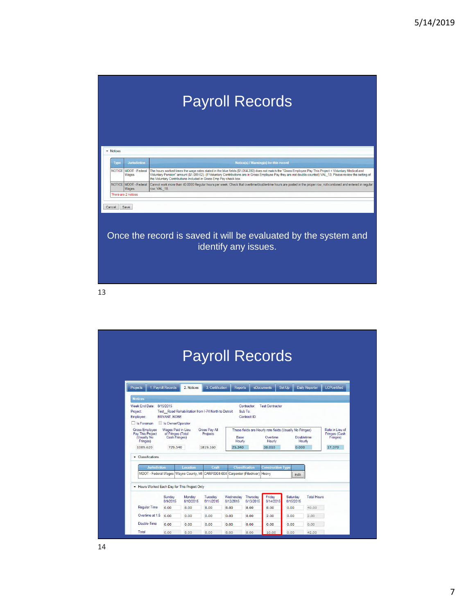# Payroll Records

| <b>Type</b> | <b>Jurisdiction</b>            | Notice(s) / Warning(s) for this record                                                                                                                                                                                                                                                                                                                                                           |
|-------------|--------------------------------|--------------------------------------------------------------------------------------------------------------------------------------------------------------------------------------------------------------------------------------------------------------------------------------------------------------------------------------------------------------------------------------------------|
|             | NOTICE MDOT - Federal<br>Wages | The hours worked times the wage rates stated in the blue fields (\$1,064.280) does not match the "Gross Employee Pay This Project + Voluntary Medical and<br>Voluntary Pension" amount (\$1,089.62). (If Voluntary Contributions are in Gross Employee Pay they are not double counted) VAL 13. Please review the setting of<br>the Voluntary Contributions Included in Gross Emp Pay check box. |
|             | NOTICE MDOT - Federal<br>Wages | Cannot work more than 40,0000 Regular hours per week. Check that overtime/double-time hours are posted in the proper row, not combined and entered in regular<br>row. VAL 18.                                                                                                                                                                                                                    |
|             |                                |                                                                                                                                                                                                                                                                                                                                                                                                  |

|                                                                                                                                   |                    |                                                                               |                                       |                          |                                                       | <b>Payroll Records</b>                                                                   |                               |                       |                                                        |
|-----------------------------------------------------------------------------------------------------------------------------------|--------------------|-------------------------------------------------------------------------------|---------------------------------------|--------------------------|-------------------------------------------------------|------------------------------------------------------------------------------------------|-------------------------------|-----------------------|--------------------------------------------------------|
| Projects                                                                                                                          | 1. Payroll Records | 2. Notices                                                                    | 3. Certification                      | <b>Reports</b>           |                                                       | eDocuments                                                                               | Set Up                        | <b>Daily Reporter</b> | <b>LCPcertified</b>                                    |
| <b>Notices</b>                                                                                                                    |                    |                                                                               |                                       |                          |                                                       |                                                                                          |                               |                       |                                                        |
| $\Box$ Is Foreman<br><b>Gross Employee</b><br><b>Pay This Project</b><br>(Usually No<br>Fringes)<br>1089.620<br>• Classifications | 729.540            | Is Owner/Operator<br>Wages Paid in Lieu<br>of Fringes (Total<br>Cash Fringes) | Gross Pay All<br>Projects<br>1819.160 | Base<br>Hourly<br>25,340 |                                                       | These fields are Hourly rate fields (Usually No Fringes)<br>Overtime<br>Hourly<br>38.010 | Doubletime<br>Hourly<br>0.000 |                       | Rate in Lieu of<br>Fringes (Cash<br>Fringes)<br>17.370 |
|                                                                                                                                   |                    |                                                                               |                                       |                          |                                                       |                                                                                          |                               |                       |                                                        |
| Jurisdiction                                                                                                                      |                    | <b>Location</b><br>MDOT - Federal Wages Wayne County, MI                      | Craft<br>CARP0004-004                 |                          | <b>Classification</b><br>Carpenter (Piledriver) Heavy | <b>Construction Type</b>                                                                 | Edit                          |                       |                                                        |
| Hours Worked Each Day for This Project Only                                                                                       |                    |                                                                               |                                       |                          |                                                       |                                                                                          |                               |                       |                                                        |
|                                                                                                                                   | Sunday<br>8/9/2015 | Monday<br>8/10/2015                                                           | Tuesday<br>8/11/2015                  | Wednesday<br>8/12/2015   | Thursday<br>8/13/2015                                 | Friday<br>8/14/2015                                                                      | Saturday<br>8/15/2015         | <b>Total Hours</b>    |                                                        |
| <b>Regular Time</b>                                                                                                               | 0.00               | 8.00                                                                          | 8.00                                  | 8.00                     | 8.00                                                  | 8.00                                                                                     | 0.00                          | 40.00                 |                                                        |
| Overtime at 1.5                                                                                                                   | 0.00               | 0.00                                                                          | 0.00                                  | 0.00                     | 0.00                                                  | 2.00                                                                                     | 0.00                          | 2.00                  |                                                        |
| Double-Time                                                                                                                       | 0.00               | 0.00                                                                          | 0.00                                  | 0.00                     | 0.00                                                  | 0.00                                                                                     | 0.00                          | 0.00                  |                                                        |
|                                                                                                                                   |                    |                                                                               |                                       |                          |                                                       |                                                                                          |                               |                       |                                                        |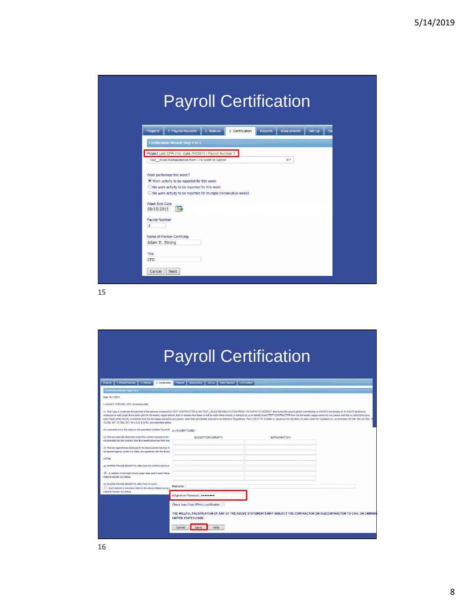|                                                                                                                |                                | <b>Payroll Certification</b> |              |
|----------------------------------------------------------------------------------------------------------------|--------------------------------|------------------------------|--------------|
| 1. Payroll Records<br>Projects                                                                                 | 2. Notices<br>3. Certification | <b>Reports</b><br>eDocuments | Set Up<br>Da |
| <b>Certification Wizard Step 1 of 2</b>                                                                        |                                |                              |              |
| Project Last CPR Info: Date 7/4/2015   Payroll Number 1<br>Test Road Rehabilitation from I-74 North to Detroit |                                | ××                           |              |
| Work performed this week?                                                                                      |                                |                              |              |
| <sup>O</sup> Work activity to be reported for this week<br>O No work activity to be reported for this week     |                                |                              |              |
| O No work activity to be reported for multiple consecutive weeks                                               |                                |                              |              |
| Week End Date<br><b>ISS</b><br>08/15/2015                                                                      |                                |                              |              |
| Payroll Number<br>$\overline{2}$                                                                               |                                |                              |              |
| Name of Person Certifying                                                                                      |                                |                              |              |
| Adam D. Strong                                                                                                 |                                |                              |              |
| Title                                                                                                          |                                |                              |              |
| <b>CFO</b>                                                                                                     |                                |                              |              |

| <b>Payroll Certification</b>                                                                                                                    |                                                                                                                                                                                                                                                                                                                                                                                                                                                                                                                                                                                                                                                                                                    |  |  |  |  |  |
|-------------------------------------------------------------------------------------------------------------------------------------------------|----------------------------------------------------------------------------------------------------------------------------------------------------------------------------------------------------------------------------------------------------------------------------------------------------------------------------------------------------------------------------------------------------------------------------------------------------------------------------------------------------------------------------------------------------------------------------------------------------------------------------------------------------------------------------------------------------|--|--|--|--|--|
| 1. Payroll Records<br>2. Notices<br><b>Projects</b><br>3. Certification                                                                         | Reports<br>eDocuments<br>Set Up <b>Daily Reporter</b><br>LCPcertified                                                                                                                                                                                                                                                                                                                                                                                                                                                                                                                                                                                                                              |  |  |  |  |  |
| Certification Wizard Step 2 of 2                                                                                                                |                                                                                                                                                                                                                                                                                                                                                                                                                                                                                                                                                                                                                                                                                                    |  |  |  |  |  |
| Date: 8/11/2015                                                                                                                                 |                                                                                                                                                                                                                                                                                                                                                                                                                                                                                                                                                                                                                                                                                                    |  |  |  |  |  |
| I. ADAM D. STRONG. CFO, do hereby state:                                                                                                        |                                                                                                                                                                                                                                                                                                                                                                                                                                                                                                                                                                                                                                                                                                    |  |  |  |  |  |
| 72 Stat. 967: 76 Stat. 357: 40 U.S.C. § 3145), and described below.                                                                             | (1) That I pay or supervise the payment of the persons employed by TEST CONTRACTOR on the TEST_ROAD REHABILITATION FROM I-74 NORTH TO DETROIT; that during the payroll period commencing on 8/9/2015 and enting on 8/15/2015 a<br>employed on said project have been paid the full weekly wages earned, that no rebates have been or will be made either directly or indirectly to or on behalf of said TEST CONTRACTOR from the full weekly wages earned by any<br>been made either directly or indirectly from the full wages earned by any person, other than permissible deductions as defined in Regulations, Part 3 (29 C.F.R. Subtitle A), issued by the Secretary of Labor under the Copel |  |  |  |  |  |
| All comments are in the notes on the submitted Certified Payroll R (c) EXCEPTIONS:                                                              |                                                                                                                                                                                                                                                                                                                                                                                                                                                                                                                                                                                                                                                                                                    |  |  |  |  |  |
| (2) That any payrolls otherwise under this contract required to be a<br>incorporated into the contract: that the classifications set forth then | <b>EXCEPTION (CRAFT)</b><br><b>EXPLANATION</b>                                                                                                                                                                                                                                                                                                                                                                                                                                                                                                                                                                                                                                                     |  |  |  |  |  |
| (3) That any apprentices employed in the above period are duly re-<br>recognized agency exists in a State, are registered with the Burear       |                                                                                                                                                                                                                                                                                                                                                                                                                                                                                                                                                                                                                                                                                                    |  |  |  |  |  |
| $(4)$ That:                                                                                                                                     |                                                                                                                                                                                                                                                                                                                                                                                                                                                                                                                                                                                                                                                                                                    |  |  |  |  |  |
| (a) WHERE FRINGE BENEFITS ARE PAID TO APPROVED PLAI                                                                                             |                                                                                                                                                                                                                                                                                                                                                                                                                                                                                                                                                                                                                                                                                                    |  |  |  |  |  |
| IV - in addition to the basic hourly wage rates paid to each labore<br>noted in section 4(c) below.                                             |                                                                                                                                                                                                                                                                                                                                                                                                                                                                                                                                                                                                                                                                                                    |  |  |  |  |  |
| (b) WHERE FRINGE BENEFITS ARE PAID IN CASH<br>Each laborer or mechanic listed in the above referenced pays                                      | Remarks:                                                                                                                                                                                                                                                                                                                                                                                                                                                                                                                                                                                                                                                                                           |  |  |  |  |  |
| noted in Section 4(c) below                                                                                                                     | eSignature Password:                                                                                                                                                                                                                                                                                                                                                                                                                                                                                                                                                                                                                                                                               |  |  |  |  |  |
|                                                                                                                                                 | Check here if last (FINAL) certification [                                                                                                                                                                                                                                                                                                                                                                                                                                                                                                                                                                                                                                                         |  |  |  |  |  |
|                                                                                                                                                 | THE WILLFUL FALSIFICATION OF ANY OF THE ABOVE STATEMENTS MAY SUBJECT THE CONTRACTOR OR SUBCONTRACTOR TO CIVIL OR CRIMINA<br>UNITED STATES CODE.                                                                                                                                                                                                                                                                                                                                                                                                                                                                                                                                                    |  |  |  |  |  |
|                                                                                                                                                 | Save<br>Help<br>Cancel                                                                                                                                                                                                                                                                                                                                                                                                                                                                                                                                                                                                                                                                             |  |  |  |  |  |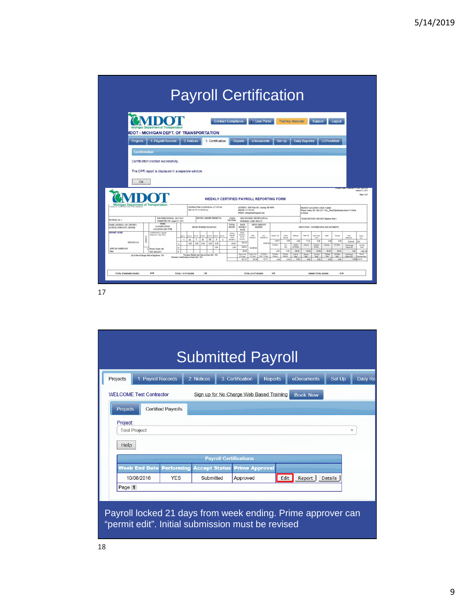| <b>Projects</b>                                                                                   |              | <b>IDOT - MICHIGAN DEPT, OF TRANSPORTATION</b><br>1. Payroll Records |         |             |                                          |                                              |                                                |                            |                           |                                                       |                                    |                               |                     |                                             |                                       |                        |                      |                                                                       |                                                                         |
|---------------------------------------------------------------------------------------------------|--------------|----------------------------------------------------------------------|---------|-------------|------------------------------------------|----------------------------------------------|------------------------------------------------|----------------------------|---------------------------|-------------------------------------------------------|------------------------------------|-------------------------------|---------------------|---------------------------------------------|---------------------------------------|------------------------|----------------------|-----------------------------------------------------------------------|-------------------------------------------------------------------------|
|                                                                                                   |              |                                                                      |         |             |                                          |                                              |                                                |                            |                           |                                                       |                                    |                               |                     |                                             |                                       |                        |                      |                                                                       |                                                                         |
|                                                                                                   |              |                                                                      |         |             | 2. Notices                               |                                              | 3. Certification                               |                            | <b>Reports</b>            |                                                       | eDocuments                         | Set Up                        |                     | <b>Daily Reporter</b>                       |                                       | <b>LCPcertified</b>    |                      |                                                                       |                                                                         |
|                                                                                                   | Confirmation |                                                                      |         |             |                                          |                                              |                                                |                            |                           |                                                       |                                    |                               |                     |                                             |                                       |                        |                      |                                                                       |                                                                         |
|                                                                                                   |              |                                                                      |         |             |                                          |                                              |                                                |                            |                           |                                                       |                                    |                               |                     |                                             |                                       |                        |                      |                                                                       |                                                                         |
|                                                                                                   |              | Certification created successfully.                                  |         |             |                                          |                                              |                                                |                            |                           |                                                       |                                    |                               |                     |                                             |                                       |                        |                      |                                                                       |                                                                         |
|                                                                                                   |              | The CPR report is displayed in a separate window.                    |         |             |                                          |                                              |                                                |                            |                           |                                                       |                                    |                               |                     |                                             |                                       |                        |                      |                                                                       |                                                                         |
|                                                                                                   |              |                                                                      |         |             |                                          |                                              |                                                |                            |                           |                                                       |                                    |                               |                     |                                             |                                       |                        |                      |                                                                       |                                                                         |
|                                                                                                   |              |                                                                      |         |             |                                          |                                              |                                                |                            |                           |                                                       |                                    |                               |                     |                                             |                                       |                        |                      |                                                                       |                                                                         |
|                                                                                                   |              |                                                                      |         |             |                                          |                                              |                                                |                            |                           |                                                       |                                    |                               |                     |                                             |                                       |                        |                      |                                                                       |                                                                         |
|                                                                                                   | <b>OK</b>    |                                                                      |         |             |                                          |                                              |                                                |                            |                           |                                                       |                                    |                               |                     |                                             |                                       |                        |                      |                                                                       |                                                                         |
|                                                                                                   |              |                                                                      |         |             |                                          |                                              |                                                |                            |                           |                                                       |                                    |                               |                     |                                             |                                       |                        |                      |                                                                       | <b>BANK WAS ARREST</b>                                                  |
|                                                                                                   |              |                                                                      |         |             |                                          |                                              |                                                |                            |                           |                                                       |                                    |                               |                     |                                             |                                       |                        |                      | <b>COULD THE EXPLOSE</b>                                              | August 11, 2015                                                         |
|                                                                                                   |              |                                                                      |         |             |                                          |                                              |                                                |                            |                           |                                                       |                                    |                               |                     |                                             |                                       |                        |                      |                                                                       | Page 1 of 2                                                             |
|                                                                                                   |              |                                                                      |         |             |                                          |                                              | <b>WEEKLY CERTIFIED PAYROLL REPORTING FORM</b> |                            |                           |                                                       |                                    |                               |                     |                                             |                                       |                        |                      |                                                                       |                                                                         |
| Michigan Department of Transportation                                                             |              |                                                                      |         |             |                                          | CONTRACTORS LICENSE No. 5177197344           |                                                |                            |                           |                                                       |                                    |                               |                     |                                             |                                       |                        |                      |                                                                       |                                                                         |
|                                                                                                   |              |                                                                      |         |             | SPECIALTY LICROSCOM                      |                                              |                                                |                            | PRONE: 5177107144         | ADDRESS: 8885 Ricks Rd., Lensing, MI 48909            |                                    |                               |                     |                                             | PROJECT LOCATION/ CODE / NAME         |                        |                      | Wayne County, MI / AB-1234 / Test_Road Rekabilitation from I-74 North |                                                                         |
|                                                                                                   |              |                                                                      |         |             |                                          |                                              |                                                |                            |                           | EMAIL: strengedom@d@gmail.com                         |                                    |                               |                     | to Detroit                                  |                                       |                        |                      |                                                                       |                                                                         |
| PAYROLL No. 1                                                                                     |              | FOR WEEK ENDING: 08/15/2015<br>SUBMITTED ON: August 11, 2015         |         |             |                                          | MOTOR CARRIER PERMIT No.                     |                                                | <b>UNION</b><br>Non-Tinker |                           | SELF-DISURED CERTIFICATE No.<br>WORKERS' COMP. POLICY |                                    |                               |                     |                                             | WAGE DECISION: MIL30001 Highway Med 1 |                        |                      |                                                                       |                                                                         |
|                                                                                                   |              | <b>TACK</b><br>CLASSIFICATION.                                       |         |             |                                          | HOURS WORKED EACH DAY                        |                                                | TOTAL<br>HOURS.            | BASE<br>HOURLY            | GROSS AMOUNT<br><b>EARNED</b>                         |                                    |                               |                     |                                             | DEDUCTION . CONTRIBUTION AND PAYMENTS |                        |                      |                                                                       |                                                                         |
|                                                                                                   |              | LOCATION AND TYPE<br>CARPENA 004 / Carpenter                         |         |             |                                          |                                              |                                                |                            | RATE<br><b>BASE</b>       |                                                       |                                    |                               |                     |                                             |                                       |                        |                      |                                                                       |                                                                         |
|                                                                                                   |              | Piedma) / Type Heary                                                 |         | <b>Wint</b> | WIMS<br>vince.                           | W1273<br>71815                               | 8/14/15<br>615/15                              | TOTAL<br>ASCIENCE<br>THIS  | HOURLY<br>93.75           | <b>THIS</b>                                           | ALL                                | Federal Tar                   | Social<br>Society   | Medicare<br><b>State Time</b>               | Local Taxes<br>1988                   | 0to <sup></sup>        | Santage              | Total<br>Deficion                                                     |                                                                         |
|                                                                                                   |              |                                                                      |         | s           | $\mathbf{M}$<br>T.                       | TH<br>w                                      | $\mathbf{r}$<br>×                              | PROJECT                    | <b>GFPAY</b>              | PRODUCT                                               | PROJECTS                           | 139.17                        | 9.00                | 0.00<br>77.32                               | 0.00                                  | 0.00                   | 0.00                 | \$316.48                                                              | Cleck<br>DD                                                             |
| NAME, ADDRESS, SSN, DRIVER'S<br>LICENSE, ETHNICITY, GENDER.<br><b>BRYANT, KOBE</b><br>XXX-XX-1111 | LAND(1)      |                                                                      |         |             | 100<br>5.00                              | 2.00<br>5.00                                 | 5.00                                           | 40.00                      | \$25.34                   |                                                       | 1,819.16                           | Va/Des                        | Trey<br>Sale        | <b>Health</b><br>Persian<br>& Weller        | Vicidian<br>Rolder                    | Training               | AT Ofer              | <b>Total Friends</b>                                                  | No Pad                                                                  |
|                                                                                                   |              | o Wayne County, MD                                                   | $\circ$ |             |                                          |                                              | 2.00                                           | 200                        | 53801<br>\$0.00           | \$1,099.63                                            |                                    | 0.00                          | 0.00                | \$0.00<br>5000                              | 50.00                                 | \$5.00                 | \$0.00               | <b>Paid to 34</b><br>0.00                                             |                                                                         |
| AFRICAN AMERICAN<br>Male                                                                          |              | WD: M0146079<br>All or Part of Frinzes Paid to Entelleree: NO        | Þ       |             | Veluntary Contributions in Gress Pay: NO | Vacation, Holiday and Dass in Gross Pay: 340 |                                                |                            | Kue in Lieu<br>of Fringen | <b>Degio Lice</b><br>of Frigans                       | Total Bay<br><b>Rate + Estates</b> | Voluntary<br><b>President</b> | Voluntus<br>Medical | <b>DAW</b><br>Presion<br>Rate<br><b>Kas</b> | Val Hall<br>RAN.                      | Transag<br><b>Rate</b> | A106e<br><b>Rate</b> | Total Fringe<br>Kasa sa Sul                                           | Week<br>1,602.60<br><b>Payroll</b><br><b><i><u>Frirest</u></i></b> Date |

|                                                                   | <b>Submitted Payroll</b>                                               |
|-------------------------------------------------------------------|------------------------------------------------------------------------|
| 1. Payroll Records<br>2. Notices<br>Projects                      | 3. Certification<br>eDocuments<br>Set Up<br>Daily Re<br><b>Reports</b> |
| <b>WELCOME Test Contractor</b>                                    | Sign up for No Charge Web Based Training<br><b>Book Now</b>            |
| <b>Projects</b><br><b>Certified Payrolls</b>                      |                                                                        |
| Project:<br><b>Test Project</b><br>Help                           | v                                                                      |
|                                                                   | <b>Payroll Certifications</b>                                          |
| <b>Neek End Date</b><br><b>Performing</b><br><b>Accept Status</b> | <b>Prime Approval</b>                                                  |
| 10/08/2016<br><b>YES</b><br>Submitted                             | Edit<br>Approved<br>Report<br>Details                                  |
| Page 1<br>"permit edit". Initial submission must be revised       | Payroll locked 21 days from week ending. Prime approver can            |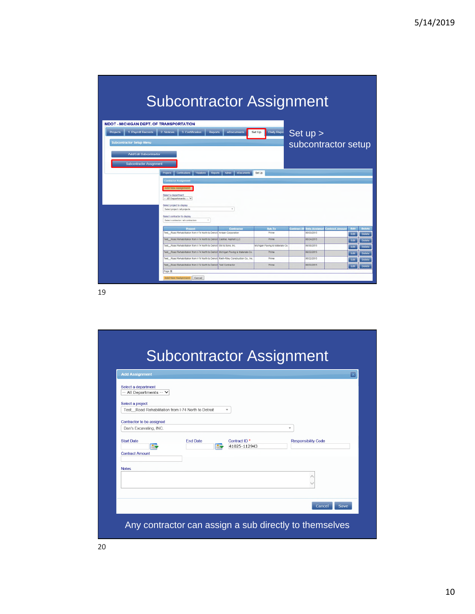## Subcontractor Assignment

| Projects | 1. Payroll Records              | 2 Notices                                                  | 3. Certification                                                         | <b>Reports</b> | eDocuments                                                                             | Daily Repo<br>Set Up            |                    | Set up >             |                       |      |               |
|----------|---------------------------------|------------------------------------------------------------|--------------------------------------------------------------------------|----------------|----------------------------------------------------------------------------------------|---------------------------------|--------------------|----------------------|-----------------------|------|---------------|
|          | <b>Subcontractor Setup Menu</b> |                                                            |                                                                          |                |                                                                                        |                                 |                    |                      | subcontractor setup   |      |               |
|          | Add/Edit Subcontractor          |                                                            |                                                                          |                |                                                                                        |                                 |                    |                      |                       |      |               |
|          | Subcontractor Assignment        |                                                            |                                                                          |                |                                                                                        |                                 |                    |                      |                       |      |               |
|          |                                 | <b>Projects</b>                                            | Certifications<br>Violations                                             | Reports        | <b>Admin</b><br>eDocuments                                                             | Set Up                          |                    |                      |                       |      |               |
|          |                                 | <b>Contractor Assignment</b>                               |                                                                          |                |                                                                                        |                                 |                    |                      |                       |      |               |
|          |                                 | <b>Add New Assignment</b>                                  |                                                                          |                |                                                                                        |                                 |                    |                      |                       |      |               |
|          |                                 | Select a department                                        |                                                                          |                |                                                                                        |                                 |                    |                      |                       |      |               |
|          |                                 | -- All Departments -- V                                    |                                                                          |                |                                                                                        |                                 |                    |                      |                       |      |               |
|          |                                 | Select project to display<br>Select project / all projects |                                                                          |                | ٠                                                                                      |                                 |                    |                      |                       |      |               |
|          |                                 |                                                            |                                                                          |                |                                                                                        |                                 |                    |                      |                       |      |               |
|          |                                 | Select contractor to display                               | Select contractor / all contractors                                      | ٠              |                                                                                        |                                 |                    |                      |                       |      |               |
|          |                                 |                                                            | Project                                                                  |                | <b>Contractor</b>                                                                      | Sub To                          | <b>Contract ID</b> | <b>Date Assigner</b> | <b>Contract Amour</b> | Edit | Delete        |
|          |                                 |                                                            | Test Road Rehabilitation from I-74 North to Detroit Anlaan Corporation   |                |                                                                                        | Prime                           |                    | 06/03/2015           |                       | Edit | <b>Delete</b> |
|          |                                 |                                                            | Test Road Rehabilitation from I-74 North to Detroit Cadillac Asphalt LLC |                |                                                                                        | Prime                           |                    | 06/24/2015           |                       | Edit | <b>Delete</b> |
|          |                                 |                                                            | Test Road Rehabilitation from I-74 North to Detroit GM & Sons, Inc.      |                |                                                                                        | Michigan Paving & Materials Co. |                    | 06/30/2015           |                       | Edit | <b>Delete</b> |
|          |                                 |                                                            |                                                                          |                | Test Road Rehabilitation from I-74 North to Detroit Michigan Paving & Materials Co.    | Prime                           |                    | 06/22/2015           |                       | Edit | <b>Delete</b> |
|          |                                 |                                                            |                                                                          |                | Test Road Rehabilitation from I-74 North to Detroit Rieth-Riley Construction Co., Inc. | Prime                           |                    | 06/22/2015           |                       | Edit | <b>Delete</b> |
|          |                                 |                                                            | Test Road Rehabilitation from I-74 North to Detroit Test Contractor      |                |                                                                                        | Prime                           |                    | 06/03/2015           |                       | Edit | <b>Delete</b> |
|          |                                 |                                                            |                                                                          |                |                                                                                        |                                 |                    |                      |                       |      |               |

19

#### Subcontractor Assignment Add Assignment |× Select a department -- All Departments --  $\vee$ Select a project Test\_Road Rehabilitation from I-74 North to Detroit  $\star$ Contractor to be assigned Dan's Excavating, INC.  $\mathbf{v}$ End Date Contract ID<sup>\*</sup> **Start Date** Responsibility Code E **K** 41025-112943 **Contract Amount** Notes  $\langle \ \rangle$  $\begin{bmatrix} \text{Cancel} \end{bmatrix}$  Save Any contractor can assign a sub directly to themselves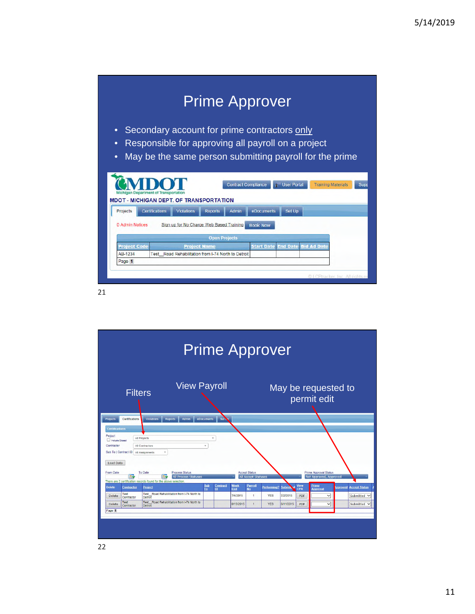|                                |                                  |                                                                       |                      |                            | <b>Prime Approver</b> |                    |                                                         |      |
|--------------------------------|----------------------------------|-----------------------------------------------------------------------|----------------------|----------------------------|-----------------------|--------------------|---------------------------------------------------------|------|
| $\bullet$                      |                                  | Secondary account for prime contractors only                          |                      |                            |                       |                    |                                                         |      |
| $\bullet$                      |                                  | Responsible for approving all payroll on a project                    |                      |                            |                       |                    |                                                         |      |
|                                |                                  |                                                                       |                      |                            |                       |                    |                                                         |      |
| $\bullet$                      |                                  |                                                                       |                      |                            |                       |                    | May be the same person submitting payroll for the prime |      |
|                                |                                  |                                                                       |                      |                            |                       |                    |                                                         |      |
|                                |                                  |                                                                       |                      |                            |                       |                    |                                                         |      |
|                                |                                  |                                                                       |                      |                            |                       |                    |                                                         |      |
|                                |                                  |                                                                       |                      | <b>Contract Compliance</b> |                       | <b>User Portal</b> | <b>Training Materials</b>                               | Supr |
|                                | Michigan Department of Transport |                                                                       |                      |                            |                       |                    |                                                         |      |
|                                |                                  | <b>MDOT - MICHIGAN DEPT. OF TRANSPORTATION</b>                        |                      |                            |                       |                    |                                                         |      |
| Projects                       | Certifications                   | <b>Violations</b>                                                     | <b>Reports</b>       | Admin                      | eDocuments            | Set Up             |                                                         |      |
| 0 Admin Notices                |                                  | Sign up for No Charge Web Based Training                              |                      |                            | <b>Book Now</b>       |                    |                                                         |      |
|                                |                                  |                                                                       |                      |                            |                       |                    |                                                         |      |
|                                |                                  |                                                                       | <b>Open Projects</b> |                            |                       |                    |                                                         |      |
| <b>Project Code</b><br>AR-1234 | Test                             | <b>Project Name</b><br>Road Rehabilitation from I-74 North to Detroit |                      |                            | <b>Start Date</b>     | <b>End Date</b>    | <b>Bid Ad Date</b>                                      |      |